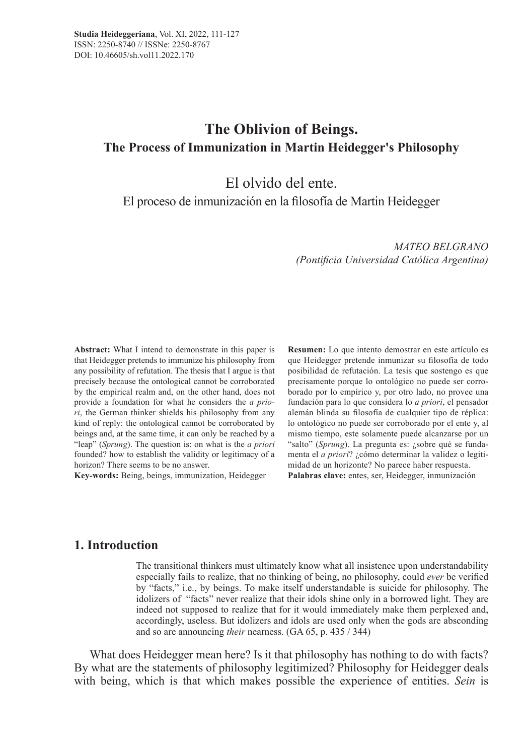# **The Oblivion of Beings. The Process of Immunization in Martin Heidegger's Philosophy**

El olvido del ente.

El proceso de inmunización en la filosofía de Martin Heidegger

*MATEO BELGRANO (Pontificia Universidad Católica Argentina)*

**Abstract:** What I intend to demonstrate in this paper is that Heidegger pretends to immunize his philosophy from any possibility of refutation. The thesis that I argue is that precisely because the ontological cannot be corroborated by the empirical realm and, on the other hand, does not provide a foundation for what he considers the *a priori*, the German thinker shields his philosophy from any kind of reply: the ontological cannot be corroborated by beings and, at the same time, it can only be reached by a "leap" (*Sprung*). The question is: on what is the *a priori* founded? how to establish the validity or legitimacy of a horizon? There seems to be no answer.

**Key-words:** Being, beings, immunization, Heidegger

**Resumen:** Lo que intento demostrar en este artículo es que Heidegger pretende inmunizar su filosofía de todo posibilidad de refutación. La tesis que sostengo es que precisamente porque lo ontológico no puede ser corroborado por lo empírico y, por otro lado, no provee una fundación para lo que considera lo *a priori*, el pensador alemán blinda su filosofía de cualquier tipo de réplica: lo ontológico no puede ser corroborado por el ente y, al mismo tiempo, este solamente puede alcanzarse por un "salto" (*Sprung*). La pregunta es: ¿sobre qué se fundamenta el *a priori*? ¿cómo determinar la validez o legitimidad de un horizonte? No parece haber respuesta. **Palabras clave:** entes, ser, Heidegger, inmunización

### **1. Introduction**

The transitional thinkers must ultimately know what all insistence upon understandability especially fails to realize, that no thinking of being, no philosophy, could *ever* be verified by "facts," i.e., by beings. To make itself understandable is suicide for philosophy. The idolizers of "facts" never realize that their idols shine only in a borrowed light. They are indeed not supposed to realize that for it would immediately make them perplexed and, accordingly, useless. But idolizers and idols are used only when the gods are absconding and so are announcing *their* nearness. (GA 65, p. 435 / 344)

What does Heidegger mean here? Is it that philosophy has nothing to do with facts? By what are the statements of philosophy legitimized? Philosophy for Heidegger deals with being, which is that which makes possible the experience of entities. *Sein* is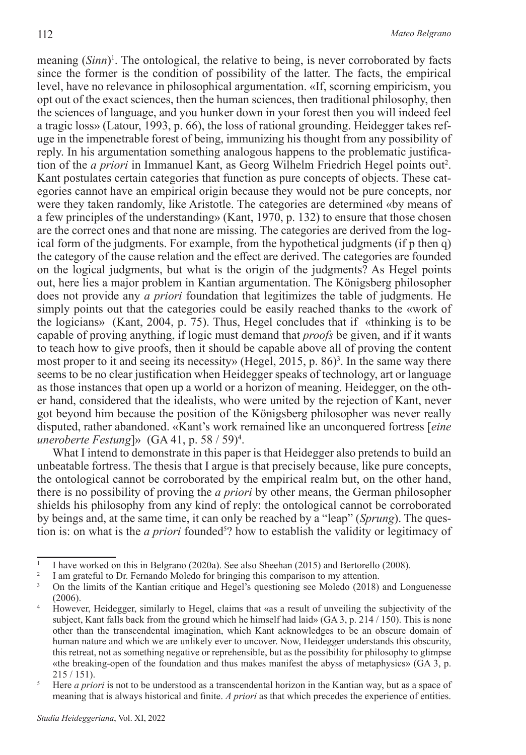meaning (*Sinn*)<sup>1</sup>. The ontological, the relative to being, is never corroborated by facts since the former is the condition of possibility of the latter. The facts, the empirical level, have no relevance in philosophical argumentation. «If, scorning empiricism, you opt out of the exact sciences, then the human sciences, then traditional philosophy, then the sciences of language, and you hunker down in your forest then you will indeed feel a tragic loss» (Latour, 1993, p. 66), the loss of rational grounding. Heidegger takes refuge in the impenetrable forest of being, immunizing his thought from any possibility of reply. In his argumentation something analogous happens to the problematic justification of the *a priori* in Immanuel Kant, as Georg Wilhelm Friedrich Hegel points out<sup>2</sup>. Kant postulates certain categories that function as pure concepts of objects. These categories cannot have an empirical origin because they would not be pure concepts, nor were they taken randomly, like Aristotle. The categories are determined «by means of a few principles of the understanding» (Kant, 1970, p. 132) to ensure that those chosen are the correct ones and that none are missing. The categories are derived from the logical form of the judgments. For example, from the hypothetical judgments (if p then q) the category of the cause relation and the effect are derived. The categories are founded on the logical judgments, but what is the origin of the judgments? As Hegel points out, here lies a major problem in Kantian argumentation. The Königsberg philosopher does not provide any *a priori* foundation that legitimizes the table of judgments. He simply points out that the categories could be easily reached thanks to the «work of the logicians» (Kant, 2004, p. 75). Thus, Hegel concludes that if «thinking is to be capable of proving anything, if logic must demand that *proofs* be given, and if it wants to teach how to give proofs, then it should be capable above all of proving the content most proper to it and seeing its necessity» (Hegel, 2015, p. 86)<sup>3</sup>. In the same way there seems to be no clear justification when Heidegger speaks of technology, art or language as those instances that open up a world or a horizon of meaning. Heidegger, on the other hand, considered that the idealists, who were united by the rejection of Kant, never got beyond him because the position of the Königsberg philosopher was never really disputed, rather abandoned. «Kant's work remained like an unconquered fortress [*eine uneroberte Festung*]» (GA 41, p. 58 / 59)4 .

What I intend to demonstrate in this paper is that Heidegger also pretends to build an unbeatable fortress. The thesis that I argue is that precisely because, like pure concepts, the ontological cannot be corroborated by the empirical realm but, on the other hand, there is no possibility of proving the *a priori* by other means, the German philosopher shields his philosophy from any kind of reply: the ontological cannot be corroborated by beings and, at the same time, it can only be reached by a "leap" (*Sprung*). The question is: on what is the *a priori* founded<sup>5</sup>? how to establish the validity or legitimacy of

<sup>&</sup>lt;sup>1</sup> I have worked on this in Belgrano (2020a). See also Sheehan (2015) and Bertorello (2008).

<sup>2</sup> I am grateful to Dr. Fernando Moledo for bringing this comparison to my attention.

<sup>&</sup>lt;sup>3</sup> On the limits of the Kantian critique and Hegel's questioning see Moledo (2018) and Longuenesse (2006).

<sup>4</sup> However, Heidegger, similarly to Hegel, claims that «as a result of unveiling the subjectivity of the subject, Kant falls back from the ground which he himself had laid» (GA 3, p. 214 / 150). This is none other than the transcendental imagination, which Kant acknowledges to be an obscure domain of human nature and which we are unlikely ever to uncover. Now, Heidegger understands this obscurity, this retreat, not as something negative or reprehensible, but as the possibility for philosophy to glimpse «the breaking-open of the foundation and thus makes manifest the abyss of metaphysics» (GA 3, p. 215 / 151).

<sup>&</sup>lt;sup>5</sup> Here *a priori* is not to be understood as a transcendental horizon in the Kantian way, but as a space of meaning that is always historical and finite. *A priori* as that which precedes the experience of entities.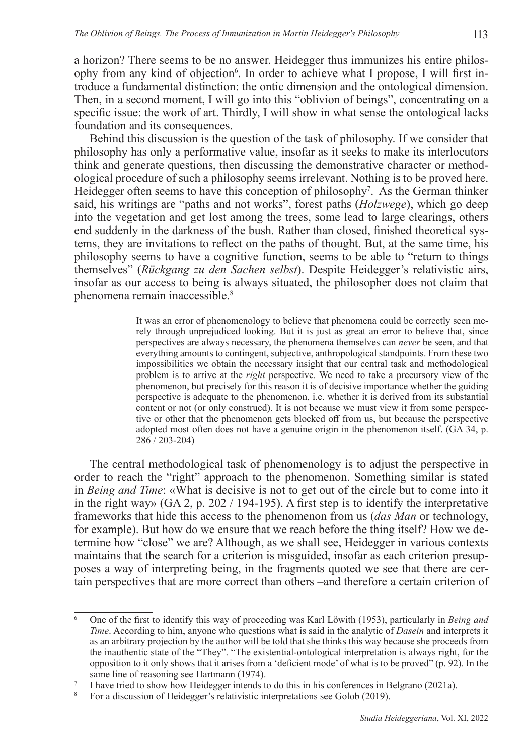a horizon? There seems to be no answer. Heidegger thus immunizes his entire philosophy from any kind of objection<sup>6</sup>. In order to achieve what I propose, I will first introduce a fundamental distinction: the ontic dimension and the ontological dimension. Then, in a second moment, I will go into this "oblivion of beings", concentrating on a specific issue: the work of art. Thirdly, I will show in what sense the ontological lacks foundation and its consequences.

Behind this discussion is the question of the task of philosophy. If we consider that philosophy has only a performative value, insofar as it seeks to make its interlocutors think and generate questions, then discussing the demonstrative character or methodological procedure of such a philosophy seems irrelevant. Nothing is to be proved here. Heidegger often seems to have this conception of philosophy<sup>7</sup>. As the German thinker said, his writings are "paths and not works", forest paths (*Holzwege*), which go deep into the vegetation and get lost among the trees, some lead to large clearings, others end suddenly in the darkness of the bush. Rather than closed, finished theoretical systems, they are invitations to reflect on the paths of thought. But, at the same time, his philosophy seems to have a cognitive function, seems to be able to "return to things themselves" (*Rückgang zu den Sachen selbst*). Despite Heidegger's relativistic airs, insofar as our access to being is always situated, the philosopher does not claim that phenomena remain inaccessible.8

> It was an error of phenomenology to believe that phenomena could be correctly seen merely through unprejudiced looking. But it is just as great an error to believe that, since perspectives are always necessary, the phenomena themselves can *never* be seen, and that everything amounts to contingent, subjective, anthropological standpoints. From these two impossibilities we obtain the necessary insight that our central task and methodological problem is to arrive at the *right* perspective. We need to take a precursory view of the phenomenon, but precisely for this reason it is of decisive importance whether the guiding perspective is adequate to the phenomenon, i.e. whether it is derived from its substantial content or not (or only construed). It is not because we must view it from some perspective or other that the phenomenon gets blocked off from us, but because the perspective adopted most often does not have a genuine origin in the phenomenon itself. (GA 34, p. 286 / 203-204)

The central methodological task of phenomenology is to adjust the perspective in order to reach the "right" approach to the phenomenon. Something similar is stated in *Being and Time*: «What is decisive is not to get out of the circle but to come into it in the right way» (GA 2, p. 202 / 194-195). A first step is to identify the interpretative frameworks that hide this access to the phenomenon from us (*das Man* or technology, for example). But how do we ensure that we reach before the thing itself? How we determine how "close" we are? Although, as we shall see, Heidegger in various contexts maintains that the search for a criterion is misguided, insofar as each criterion presupposes a way of interpreting being, in the fragments quoted we see that there are certain perspectives that are more correct than others –and therefore a certain criterion of

<sup>6</sup> One of the first to identify this way of proceeding was Karl Löwith (1953), particularly in *Being and Time*. According to him, anyone who questions what is said in the analytic of *Dasein* and interprets it as an arbitrary projection by the author will be told that she thinks this way because she proceeds from the inauthentic state of the "They". "The existential-ontological interpretation is always right, for the opposition to it only shows that it arises from a 'deficient mode' of what is to be proved" (p. 92). In the same line of reasoning see Hartmann (1974).

<sup>&</sup>lt;sup>7</sup> I have tried to show how Heidegger intends to do this in his conferences in Belgrano (2021a).<br><sup>8</sup> For a discussion of Heidegger's relativistic interpretations see Golob (2019)

<sup>8</sup> For a discussion of Heidegger's relativistic interpretations see Golob (2019).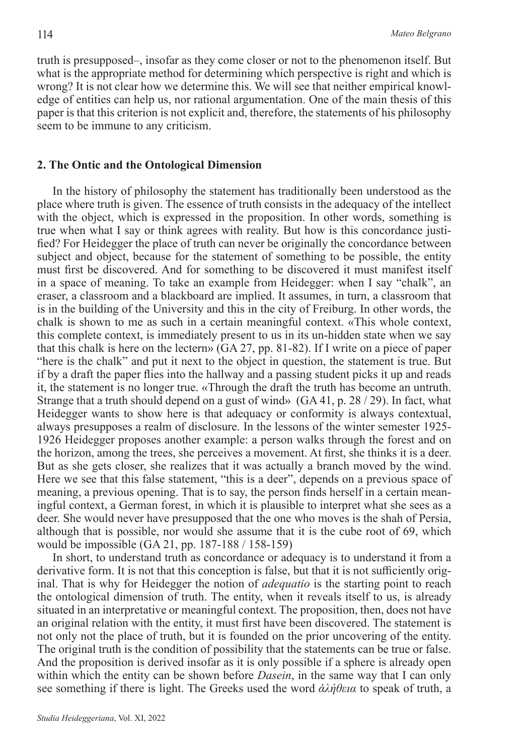truth is presupposed–, insofar as they come closer or not to the phenomenon itself. But what is the appropriate method for determining which perspective is right and which is wrong? It is not clear how we determine this. We will see that neither empirical knowledge of entities can help us, nor rational argumentation. One of the main thesis of this paper is that this criterion is not explicit and, therefore, the statements of his philosophy seem to be immune to any criticism.

### **2. The Ontic and the Ontological Dimension**

In the history of philosophy the statement has traditionally been understood as the place where truth is given. The essence of truth consists in the adequacy of the intellect with the object, which is expressed in the proposition. In other words, something is true when what I say or think agrees with reality. But how is this concordance justified? For Heidegger the place of truth can never be originally the concordance between subject and object, because for the statement of something to be possible, the entity must first be discovered. And for something to be discovered it must manifest itself in a space of meaning. To take an example from Heidegger: when I say "chalk", an eraser, a classroom and a blackboard are implied. It assumes, in turn, a classroom that is in the building of the University and this in the city of Freiburg. In other words, the chalk is shown to me as such in a certain meaningful context. «This whole context, this complete context, is immediately present to us in its un-hidden state when we say that this chalk is here on the lectern» (GA 27, pp. 81-82). If I write on a piece of paper "here is the chalk" and put it next to the object in question, the statement is true. But if by a draft the paper flies into the hallway and a passing student picks it up and reads it, the statement is no longer true. «Through the draft the truth has become an untruth. Strange that a truth should depend on a gust of wind» (GA 41, p. 28 / 29). In fact, what Heidegger wants to show here is that adequacy or conformity is always contextual, always presupposes a realm of disclosure. In the lessons of the winter semester 1925- 1926 Heidegger proposes another example: a person walks through the forest and on the horizon, among the trees, she perceives a movement. At first, she thinks it is a deer. But as she gets closer, she realizes that it was actually a branch moved by the wind. Here we see that this false statement, "this is a deer", depends on a previous space of meaning, a previous opening. That is to say, the person finds herself in a certain meaningful context, a German forest, in which it is plausible to interpret what she sees as a deer. She would never have presupposed that the one who moves is the shah of Persia, although that is possible, nor would she assume that it is the cube root of 69, which would be impossible (GA 21, pp. 187-188 / 158-159)

In short, to understand truth as concordance or adequacy is to understand it from a derivative form. It is not that this conception is false, but that it is not sufficiently original. That is why for Heidegger the notion of *adequatio* is the starting point to reach the ontological dimension of truth. The entity, when it reveals itself to us, is already situated in an interpretative or meaningful context. The proposition, then, does not have an original relation with the entity, it must first have been discovered. The statement is not only not the place of truth, but it is founded on the prior uncovering of the entity. The original truth is the condition of possibility that the statements can be true or false. And the proposition is derived insofar as it is only possible if a sphere is already open within which the entity can be shown before *Dasein*, in the same way that I can only see something if there is light. The Greeks used the word *ἀλήθεια* to speak of truth, a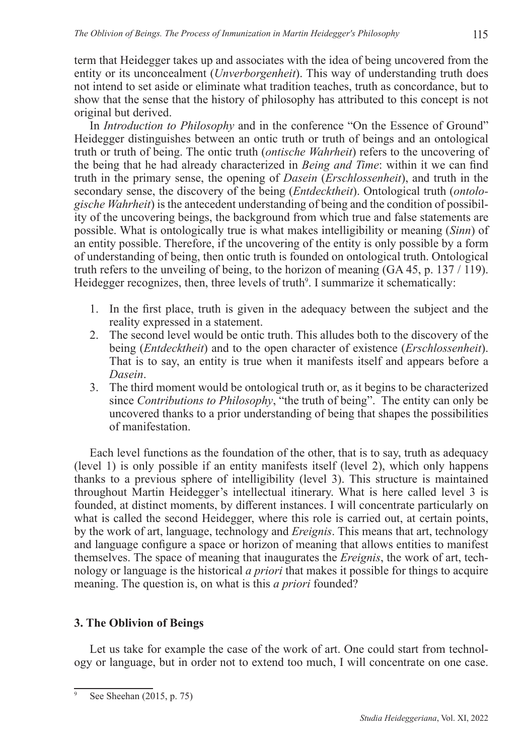term that Heidegger takes up and associates with the idea of being uncovered from the entity or its unconcealment (*Unverborgenheit*). This way of understanding truth does not intend to set aside or eliminate what tradition teaches, truth as concordance, but to show that the sense that the history of philosophy has attributed to this concept is not original but derived.

In *Introduction to Philosophy* and in the conference "On the Essence of Ground" Heidegger distinguishes between an ontic truth or truth of beings and an ontological truth or truth of being. The ontic truth (*ontische Wahrheit*) refers to the uncovering of the being that he had already characterized in *Being and Time*: within it we can find truth in the primary sense, the opening of *Dasein* (*Erschlossenheit*), and truth in the secondary sense, the discovery of the being (*Entdecktheit*). Ontological truth (*ontologische Wahrheit*) is the antecedent understanding of being and the condition of possibility of the uncovering beings, the background from which true and false statements are possible. What is ontologically true is what makes intelligibility or meaning (*Sinn*) of an entity possible. Therefore, if the uncovering of the entity is only possible by a form of understanding of being, then ontic truth is founded on ontological truth. Ontological truth refers to the unveiling of being, to the horizon of meaning  $(GA 45, p. 137 / 119)$ . Heidegger recognizes, then, three levels of truth<sup>9</sup>. I summarize it schematically:

- 1. In the first place, truth is given in the adequacy between the subject and the reality expressed in a statement.
- 2. The second level would be ontic truth. This alludes both to the discovery of the being (*Entdecktheit*) and to the open character of existence (*Erschlossenheit*). That is to say, an entity is true when it manifests itself and appears before a *Dasein*.
- 3. The third moment would be ontological truth or, as it begins to be characterized since *Contributions to Philosophy*, "the truth of being". The entity can only be uncovered thanks to a prior understanding of being that shapes the possibilities of manifestation.

Each level functions as the foundation of the other, that is to say, truth as adequacy (level 1) is only possible if an entity manifests itself (level 2), which only happens thanks to a previous sphere of intelligibility (level 3). This structure is maintained throughout Martin Heidegger's intellectual itinerary. What is here called level 3 is founded, at distinct moments, by different instances. I will concentrate particularly on what is called the second Heidegger, where this role is carried out, at certain points, by the work of art, language, technology and *Ereignis*. This means that art, technology and language configure a space or horizon of meaning that allows entities to manifest themselves. The space of meaning that inaugurates the *Ereignis*, the work of art, technology or language is the historical *a priori* that makes it possible for things to acquire meaning. The question is, on what is this *a priori* founded?

# **3. The Oblivion of Beings**

Let us take for example the case of the work of art. One could start from technology or language, but in order not to extend too much, I will concentrate on one case.

See Sheehan (2015, p. 75)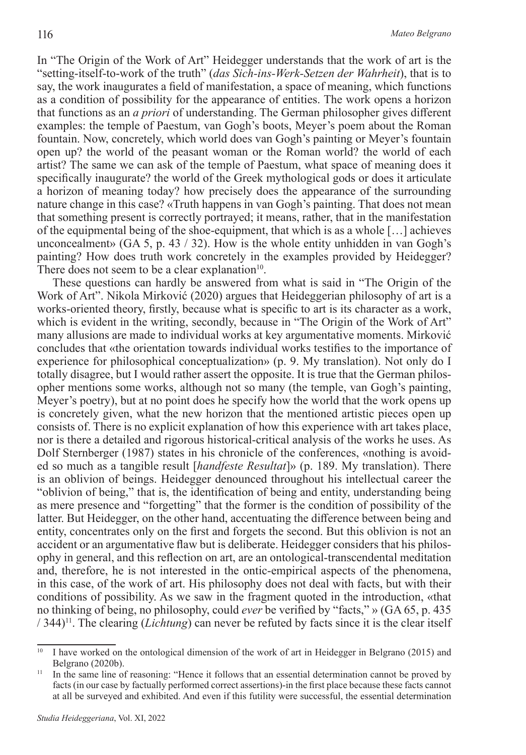In "The Origin of the Work of Art" Heidegger understands that the work of art is the "setting-itself-to-work of the truth" (*das Sich-ins-Werk-Setzen der Wahrheit*), that is to say, the work inaugurates a field of manifestation, a space of meaning, which functions as a condition of possibility for the appearance of entities. The work opens a horizon that functions as an *a priori* of understanding. The German philosopher gives different examples: the temple of Paestum, van Gogh's boots, Meyer's poem about the Roman fountain. Now, concretely, which world does van Gogh's painting or Meyer's fountain open up? the world of the peasant woman or the Roman world? the world of each artist? The same we can ask of the temple of Paestum, what space of meaning does it specifically inaugurate? the world of the Greek mythological gods or does it articulate a horizon of meaning today? how precisely does the appearance of the surrounding nature change in this case? «Truth happens in van Gogh's painting. That does not mean that something present is correctly portrayed; it means, rather, that in the manifestation of the equipmental being of the shoe-equipment, that which is as a whole […] achieves unconcealment» (GA 5, p. 43 / 32). How is the whole entity unhidden in van Gogh's painting? How does truth work concretely in the examples provided by Heidegger? There does not seem to be a clear explanation $10$ .

These questions can hardly be answered from what is said in "The Origin of the Work of Art". Nikola Mirković (2020) argues that Heideggerian philosophy of art is a works-oriented theory, firstly, because what is specific to art is its character as a work, which is evident in the writing, secondly, because in "The Origin of the Work of Art" many allusions are made to individual works at key argumentative moments. Mirković concludes that «the orientation towards individual works testifies to the importance of experience for philosophical conceptualization» (p. 9. My translation). Not only do I totally disagree, but I would rather assert the opposite. It is true that the German philosopher mentions some works, although not so many (the temple, van Gogh's painting, Meyer's poetry), but at no point does he specify how the world that the work opens up is concretely given, what the new horizon that the mentioned artistic pieces open up consists of. There is no explicit explanation of how this experience with art takes place, nor is there a detailed and rigorous historical-critical analysis of the works he uses. As Dolf Sternberger (1987) states in his chronicle of the conferences, «nothing is avoided so much as a tangible result [*handfeste Resultat*]» (p. 189. My translation). There is an oblivion of beings. Heidegger denounced throughout his intellectual career the "oblivion of being," that is, the identification of being and entity, understanding being as mere presence and "forgetting" that the former is the condition of possibility of the latter. But Heidegger, on the other hand, accentuating the difference between being and entity, concentrates only on the first and forgets the second. But this oblivion is not an accident or an argumentative flaw but is deliberate. Heidegger considers that his philosophy in general, and this reflection on art, are an ontological-transcendental meditation and, therefore, he is not interested in the ontic-empirical aspects of the phenomena, in this case, of the work of art. His philosophy does not deal with facts, but with their conditions of possibility. As we saw in the fragment quoted in the introduction, «that no thinking of being, no philosophy, could *ever* be verified by "facts," » (GA 65, p. 435 / 344)11. The clearing (*Lichtung*) can never be refuted by facts since it is the clear itself

<sup>&</sup>lt;sup>10</sup> I have worked on the ontological dimension of the work of art in Heidegger in Belgrano (2015) and Belgrano (2020b).

<sup>&</sup>lt;sup>11</sup> In the same line of reasoning: "Hence it follows that an essential determination cannot be proved by facts (in our case by factually performed correct assertions)-in the first place because these facts cannot at all be surveyed and exhibited. And even if this futility were successful, the essential determination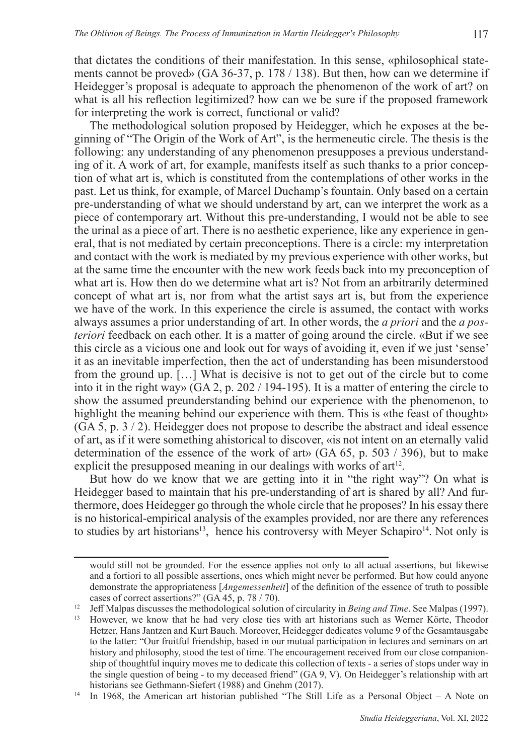that dictates the conditions of their manifestation. In this sense, «philosophical statements cannot be proved» (GA 36-37, p. 178 / 138). But then, how can we determine if Heidegger's proposal is adequate to approach the phenomenon of the work of art? on what is all his reflection legitimized? how can we be sure if the proposed framework for interpreting the work is correct, functional or valid?

The methodological solution proposed by Heidegger, which he exposes at the beginning of "The Origin of the Work of Art", is the hermeneutic circle. The thesis is the following: any understanding of any phenomenon presupposes a previous understanding of it. A work of art, for example, manifests itself as such thanks to a prior conception of what art is, which is constituted from the contemplations of other works in the past. Let us think, for example, of Marcel Duchamp's fountain. Only based on a certain pre-understanding of what we should understand by art, can we interpret the work as a piece of contemporary art. Without this pre-understanding, I would not be able to see the urinal as a piece of art. There is no aesthetic experience, like any experience in general, that is not mediated by certain preconceptions. There is a circle: my interpretation and contact with the work is mediated by my previous experience with other works, but at the same time the encounter with the new work feeds back into my preconception of what art is. How then do we determine what art is? Not from an arbitrarily determined concept of what art is, nor from what the artist says art is, but from the experience we have of the work. In this experience the circle is assumed, the contact with works always assumes a prior understanding of art. In other words, the *a priori* and the *a posteriori* feedback on each other. It is a matter of going around the circle. «But if we see this circle as a vicious one and look out for ways of avoiding it, even if we just 'sense' it as an inevitable imperfection, then the act of understanding has been misunderstood from the ground up. […] What is decisive is not to get out of the circle but to come into it in the right way» (GA 2, p. 202 / 194-195). It is a matter of entering the circle to show the assumed preunderstanding behind our experience with the phenomenon, to highlight the meaning behind our experience with them. This is «the feast of thought» (GA 5, p. 3 / 2). Heidegger does not propose to describe the abstract and ideal essence of art, as if it were something ahistorical to discover, «is not intent on an eternally valid determination of the essence of the work of art» (GA 65, p. 503 / 396), but to make explicit the presupposed meaning in our dealings with works of  $art<sup>12</sup>$ .

But how do we know that we are getting into it in "the right way"? On what is Heidegger based to maintain that his pre-understanding of art is shared by all? And furthermore, does Heidegger go through the whole circle that he proposes? In his essay there is no historical-empirical analysis of the examples provided, nor are there any references to studies by art historians<sup>13</sup>, hence his controversy with Meyer Schapiro<sup>14</sup>. Not only is

would still not be grounded. For the essence applies not only to all actual assertions, but likewise and a fortiori to all possible assertions, ones which might never be performed. But how could anyone demonstrate the appropriateness [*Angemessenheit*] of the definition of the essence of truth to possible cases of correct assertions?" (GA 45, p. 78 / 70).

<sup>&</sup>lt;sup>12</sup> Jeff Malpas discusses the methodological solution of circularity in *Being and Time*. See Malpas (1997).<br><sup>13</sup> However, we know that he had very close ties with art historians such as Werner Körte. Theodor

<sup>13</sup> However, we know that he had very close ties with art historians such as Werner Körte, Theodor Hetzer, Hans Jantzen and Kurt Bauch. Moreover, Heidegger dedicates volume 9 of the Gesamtausgabe to the latter: "Our fruitful friendship, based in our mutual participation in lectures and seminars on art history and philosophy, stood the test of time. The encouragement received from our close companionship of thoughtful inquiry moves me to dedicate this collection of texts - a series of stops under way in the single question of being - to my deceased friend" (GA 9, V). On Heidegger's relationship with art historians see Gethmann-Siefert (1988) and Gnehm (2017).

<sup>&</sup>lt;sup>14</sup> In 1968, the American art historian published "The Still Life as a Personal Object – A Note on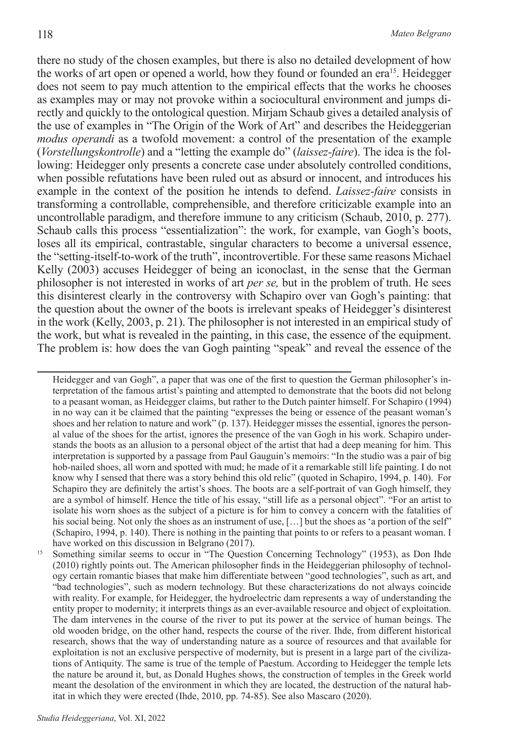there no study of the chosen examples, but there is also no detailed development of how the works of art open or opened a world, how they found or founded an era15. Heidegger does not seem to pay much attention to the empirical effects that the works he chooses as examples may or may not provoke within a sociocultural environment and jumps directly and quickly to the ontological question. Mirjam Schaub gives a detailed analysis of the use of examples in "The Origin of the Work of Art" and describes the Heideggerian *modus operandi* as a twofold movement: a control of the presentation of the example (*Vorstellungskontrolle*) and a "letting the example do" (*laissez-faire*). The idea is the following: Heidegger only presents a concrete case under absolutely controlled conditions, when possible refutations have been ruled out as absurd or innocent, and introduces his example in the context of the position he intends to defend. *Laissez-faire* consists in transforming a controllable, comprehensible, and therefore criticizable example into an uncontrollable paradigm, and therefore immune to any criticism (Schaub, 2010, p. 277). Schaub calls this process "essentialization": the work, for example, van Gogh's boots, loses all its empirical, contrastable, singular characters to become a universal essence, the "setting-itself-to-work of the truth", incontrovertible. For these same reasons Michael Kelly (2003) accuses Heidegger of being an iconoclast, in the sense that the German philosopher is not interested in works of art *per se,* but in the problem of truth. He sees this disinterest clearly in the controversy with Schapiro over van Gogh's painting: that the question about the owner of the boots is irrelevant speaks of Heidegger's disinterest in the work (Kelly, 2003, p. 21). The philosopher is not interested in an empirical study of the work, but what is revealed in the painting, in this case, the essence of the equipment. The problem is: how does the van Gogh painting "speak" and reveal the essence of the

<sup>15</sup> Something similar seems to occur in "The Question Concerning Technology" (1953), as Don Ihde (2010) rightly points out. The American philosopher finds in the Heideggerian philosophy of technology certain romantic biases that make him differentiate between "good technologies", such as art, and "bad technologies", such as modern technology. But these characterizations do not always coincide with reality. For example, for Heidegger, the hydroelectric dam represents a way of understanding the entity proper to modernity; it interprets things as an ever-available resource and object of exploitation. The dam intervenes in the course of the river to put its power at the service of human beings. The old wooden bridge, on the other hand, respects the course of the river. Ihde, from different historical research, shows that the way of understanding nature as a source of resources and that available for exploitation is not an exclusive perspective of modernity, but is present in a large part of the civilizations of Antiquity. The same is true of the temple of Paestum. According to Heidegger the temple lets the nature be around it, but, as Donald Hughes shows, the construction of temples in the Greek world meant the desolation of the environment in which they are located, the destruction of the natural habitat in which they were erected (Ihde, 2010, pp. 74-85). See also Mascaro (2020).

Heidegger and van Gogh", a paper that was one of the first to question the German philosopher's interpretation of the famous artist's painting and attempted to demonstrate that the boots did not belong to a peasant woman, as Heidegger claims, but rather to the Dutch painter himself. For Schapiro (1994) in no way can it be claimed that the painting "expresses the being or essence of the peasant woman's shoes and her relation to nature and work" (p. 137). Heidegger misses the essential, ignores the personal value of the shoes for the artist, ignores the presence of the van Gogh in his work. Schapiro understands the boots as an allusion to a personal object of the artist that had a deep meaning for him. This interpretation is supported by a passage from Paul Gauguin's memoirs: "In the studio was a pair of big hob-nailed shoes, all worn and spotted with mud; he made of it a remarkable still life painting. I do not know why I sensed that there was a story behind this old relic" (quoted in Schapiro, 1994, p. 140). For Schapiro they are definitely the artist's shoes. The boots are a self-portrait of van Gogh himself, they are a symbol of himself. Hence the title of his essay, "still life as a personal object". "For an artist to isolate his worn shoes as the subject of a picture is for him to convey a concern with the fatalities of his social being. Not only the shoes as an instrument of use, [...] but the shoes as 'a portion of the self" (Schapiro, 1994, p. 140). There is nothing in the painting that points to or refers to a peasant woman. I have worked on this discussion in Belgrano (2017).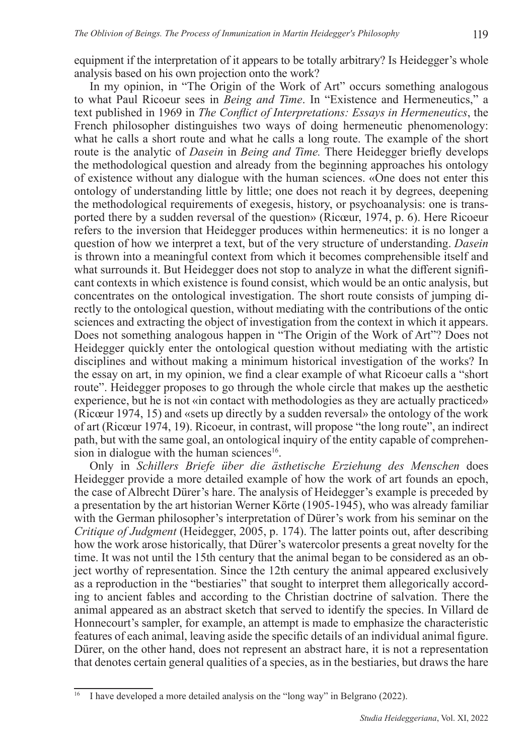equipment if the interpretation of it appears to be totally arbitrary? Is Heidegger's whole analysis based on his own projection onto the work?

In my opinion, in "The Origin of the Work of Art" occurs something analogous to what Paul Ricoeur sees in *Being and Time*. In "Existence and Hermeneutics," a text published in 1969 in *The Conflict of Interpretations: Essays in Hermeneutics*, the French philosopher distinguishes two ways of doing hermeneutic phenomenology: what he calls a short route and what he calls a long route. The example of the short route is the analytic of *Dasein* in *Being and Time.* There Heidegger briefly develops the methodological question and already from the beginning approaches his ontology of existence without any dialogue with the human sciences. «One does not enter this ontology of understanding little by little; one does not reach it by degrees, deepening the methodological requirements of exegesis, history, or psychoanalysis: one is transported there by a sudden reversal of the question» (Ricœur, 1974, p. 6). Here Ricoeur refers to the inversion that Heidegger produces within hermeneutics: it is no longer a question of how we interpret a text, but of the very structure of understanding. *Dasein* is thrown into a meaningful context from which it becomes comprehensible itself and what surrounds it. But Heidegger does not stop to analyze in what the different significant contexts in which existence is found consist, which would be an ontic analysis, but concentrates on the ontological investigation. The short route consists of jumping directly to the ontological question, without mediating with the contributions of the ontic sciences and extracting the object of investigation from the context in which it appears. Does not something analogous happen in "The Origin of the Work of Art"? Does not Heidegger quickly enter the ontological question without mediating with the artistic disciplines and without making a minimum historical investigation of the works? In the essay on art, in my opinion, we find a clear example of what Ricoeur calls a "short route". Heidegger proposes to go through the whole circle that makes up the aesthetic experience, but he is not «in contact with methodologies as they are actually practiced» (Ricœur 1974, 15) and «sets up directly by a sudden reversal» the ontology of the work of art (Ricœur 1974, 19). Ricoeur, in contrast, will propose "the long route", an indirect path, but with the same goal, an ontological inquiry of the entity capable of comprehension in dialogue with the human sciences<sup>16</sup>.

Only in *Schillers Briefe über die ästhetische Erziehung des Menschen* does Heidegger provide a more detailed example of how the work of art founds an epoch, the case of Albrecht Dürer's hare. The analysis of Heidegger's example is preceded by a presentation by the art historian Werner Körte (1905-1945), who was already familiar with the German philosopher's interpretation of Dürer's work from his seminar on the *Critique of Judgment* (Heidegger, 2005, p. 174). The latter points out, after describing how the work arose historically, that Dürer's watercolor presents a great novelty for the time. It was not until the 15th century that the animal began to be considered as an object worthy of representation. Since the 12th century the animal appeared exclusively as a reproduction in the "bestiaries" that sought to interpret them allegorically according to ancient fables and according to the Christian doctrine of salvation. There the animal appeared as an abstract sketch that served to identify the species. In Villard de Honnecourt's sampler, for example, an attempt is made to emphasize the characteristic features of each animal, leaving aside the specific details of an individual animal figure. Dürer, on the other hand, does not represent an abstract hare, it is not a representation that denotes certain general qualities of a species, as in the bestiaries, but draws the hare

I have developed a more detailed analysis on the "long way" in Belgrano (2022).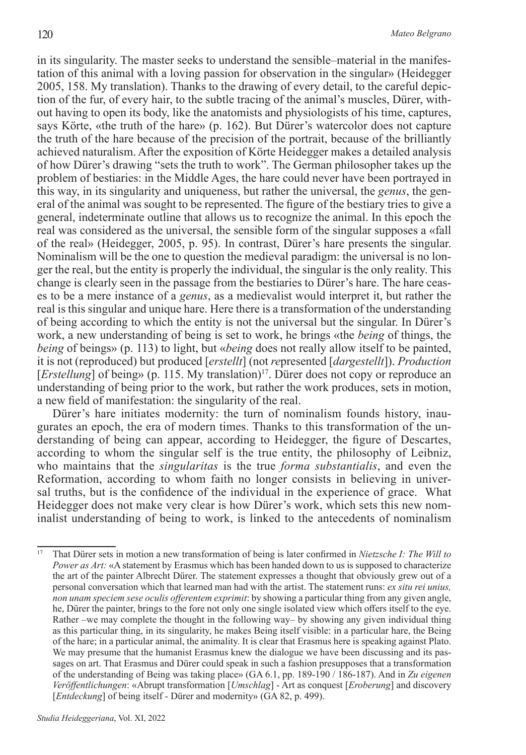in its singularity. The master seeks to understand the sensible–material in the manifestation of this animal with a loving passion for observation in the singular» (Heidegger 2005, 158. My translation). Thanks to the drawing of every detail, to the careful depiction of the fur, of every hair, to the subtle tracing of the animal's muscles, Dürer, without having to open its body, like the anatomists and physiologists of his time, captures, says Körte, «the truth of the hare» (p. 162). But Dürer's watercolor does not capture the truth of the hare because of the precision of the portrait, because of the brilliantly achieved naturalism. After the exposition of Körte Heidegger makes a detailed analysis of how Dürer's drawing "sets the truth to work". The German philosopher takes up the problem of bestiaries: in the Middle Ages, the hare could never have been portrayed in this way, in its singularity and uniqueness, but rather the universal, the *genus*, the general of the animal was sought to be represented. The figure of the bestiary tries to give a general, indeterminate outline that allows us to recognize the animal. In this epoch the real was considered as the universal, the sensible form of the singular supposes a «fall of the real» (Heidegger, 2005, p. 95). In contrast, Dürer's hare presents the singular. Nominalism will be the one to question the medieval paradigm: the universal is no longer the real, but the entity is properly the individual, the singular is the only reality. This change is clearly seen in the passage from the bestiaries to Dürer's hare. The hare ceases to be a mere instance of a *genus*, as a medievalist would interpret it, but rather the real is this singular and unique hare. Here there is a transformation of the understanding of being according to which the entity is not the universal but the singular. In Dürer's work, a new understanding of being is set to work, he brings «the *being* of things, the *being* of beings» (p. 113) to light, but «*being* does not really allow itself to be painted, it is not (reproduced) but produced [*erstellt*] (not *re*presented [*dargestellt*]). *Production* [*Erstellung*] of being» (p. 115. My translation)<sup>17</sup>. Dürer does not copy or reproduce an understanding of being prior to the work, but rather the work produces, sets in motion, a new field of manifestation: the singularity of the real.

Dürer's hare initiates modernity: the turn of nominalism founds history, inaugurates an epoch, the era of modern times. Thanks to this transformation of the understanding of being can appear, according to Heidegger, the figure of Descartes, according to whom the singular self is the true entity, the philosophy of Leibniz, who maintains that the *singularitas* is the true *forma substantialis*, and even the Reformation, according to whom faith no longer consists in believing in universal truths, but is the confidence of the individual in the experience of grace. What Heidegger does not make very clear is how Dürer's work, which sets this new nominalist understanding of being to work, is linked to the antecedents of nominalism

<sup>17</sup> That Dürer sets in motion a new transformation of being is later confirmed in *Nietzsche I: The Will to Power as Art:* «A statement by Erasmus which has been handed down to us is supposed to characterize the art of the painter Albrecht Dürer. The statement expresses a thought that obviously grew out of a personal conversation which that learned man had with the artist. The statement runs: *ex situ rei unius, non unam speciem sese oculis offerentem exprimit*: by showing a particular thing from any given angle, he, Dürer the painter, brings to the fore not only one single isolated view which offers itself to the eye. Rather –we may complete the thought in the following way– by showing any given individual thing as this particular thing, in its singularity, he makes Being itself visible: in a particular hare, the Being of the hare; in a particular animal, the animality. It is clear that Erasmus here is speaking against Plato. We may presume that the humanist Erasmus knew the dialogue we have been discussing and its passages on art. That Erasmus and Dürer could speak in such a fashion presupposes that a transformation of the understanding of Being was taking place» (GA 6.1, pp. 189-190 / 186-187). And in *Zu eigenen Veröffentlichungen*: «Abrupt transformation [*Umschlag*] - Art as conquest [*Eroberung*] and discovery [*Entdeckung*] of being itself - Dürer and modernity» (GA 82, p. 499).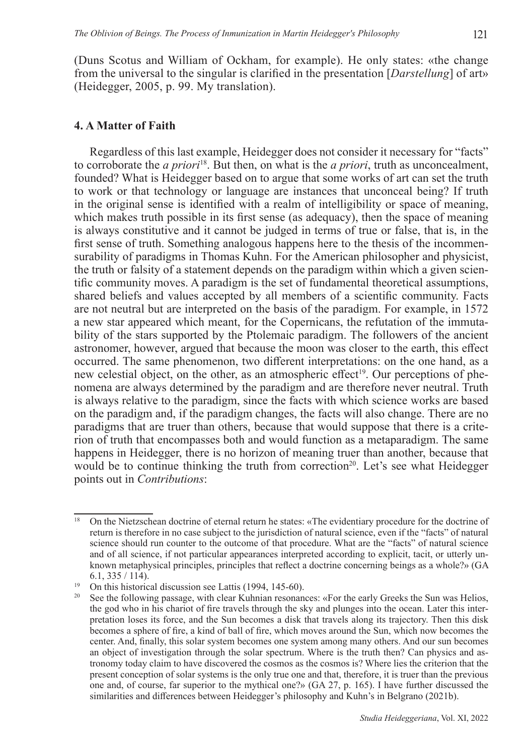(Duns Scotus and William of Ockham, for example). He only states: «the change from the universal to the singular is clarified in the presentation [*Darstellung*] of art» (Heidegger, 2005, p. 99. My translation).

### **4. A Matter of Faith**

Regardless of this last example, Heidegger does not consider it necessary for "facts" to corroborate the *a priori*18. But then, on what is the *a priori*, truth as unconcealment, founded? What is Heidegger based on to argue that some works of art can set the truth to work or that technology or language are instances that unconceal being? If truth in the original sense is identified with a realm of intelligibility or space of meaning, which makes truth possible in its first sense (as adequacy), then the space of meaning is always constitutive and it cannot be judged in terms of true or false, that is, in the first sense of truth. Something analogous happens here to the thesis of the incommensurability of paradigms in Thomas Kuhn. For the American philosopher and physicist, the truth or falsity of a statement depends on the paradigm within which a given scientific community moves. A paradigm is the set of fundamental theoretical assumptions, shared beliefs and values accepted by all members of a scientific community. Facts are not neutral but are interpreted on the basis of the paradigm. For example, in 1572 a new star appeared which meant, for the Copernicans, the refutation of the immutability of the stars supported by the Ptolemaic paradigm. The followers of the ancient astronomer, however, argued that because the moon was closer to the earth, this effect occurred. The same phenomenon, two different interpretations: on the one hand, as a new celestial object, on the other, as an atmospheric effect<sup>19</sup>. Our perceptions of phenomena are always determined by the paradigm and are therefore never neutral. Truth is always relative to the paradigm, since the facts with which science works are based on the paradigm and, if the paradigm changes, the facts will also change. There are no paradigms that are truer than others, because that would suppose that there is a criterion of truth that encompasses both and would function as a metaparadigm. The same happens in Heidegger, there is no horizon of meaning truer than another, because that would be to continue thinking the truth from correction<sup>20</sup>. Let's see what Heidegger points out in *Contributions*:

<sup>&</sup>lt;sup>18</sup> On the Nietzschean doctrine of eternal return he states: «The evidentiary procedure for the doctrine of return is therefore in no case subject to the jurisdiction of natural science, even if the "facts" of natural science should run counter to the outcome of that procedure. What are the "facts" of natural science and of all science, if not particular appearances interpreted according to explicit, tacit, or utterly unknown metaphysical principles, principles that reflect a doctrine concerning beings as a whole?» (GA 6.1, 335 / 114).

<sup>&</sup>lt;sup>19</sup> On this historical discussion see Lattis (1994, 145-60).

<sup>20</sup> See the following passage, with clear Kuhnian resonances: «For the early Greeks the Sun was Helios, the god who in his chariot of fire travels through the sky and plunges into the ocean. Later this interpretation loses its force, and the Sun becomes a disk that travels along its trajectory. Then this disk becomes a sphere of fire, a kind of ball of fire, which moves around the Sun, which now becomes the center. And, finally, this solar system becomes one system among many others. And our sun becomes an object of investigation through the solar spectrum. Where is the truth then? Can physics and astronomy today claim to have discovered the cosmos as the cosmos is? Where lies the criterion that the present conception of solar systems is the only true one and that, therefore, it is truer than the previous one and, of course, far superior to the mythical one?» (GA 27, p. 165). I have further discussed the similarities and differences between Heidegger's philosophy and Kuhn's in Belgrano (2021b).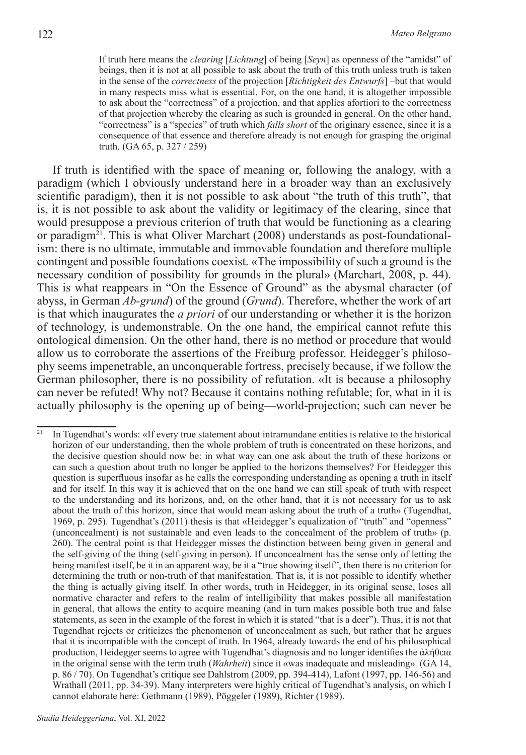If truth here means the *clearing* [*Lichtung*] of being [*Seyn*] as openness of the "amidst" of beings, then it is not at all possible to ask about the truth of this truth unless truth is taken in the sense of the *correctness* of the projection [*Richtigkeit des Entwurfs*] –but that would in many respects miss what is essential. For, on the one hand, it is altogether impossible to ask about the "correctness" of a projection, and that applies afortiori to the correctness of that projection whereby the clearing as such is grounded in general. On the other hand, "correctness" is a "species" of truth which *falls short* of the originary essence, since it is a consequence of that essence and therefore already is not enough for grasping the original truth. (GA 65, p. 327 / 259)

If truth is identified with the space of meaning or, following the analogy, with a paradigm (which I obviously understand here in a broader way than an exclusively scientific paradigm), then it is not possible to ask about "the truth of this truth", that is, it is not possible to ask about the validity or legitimacy of the clearing, since that would presuppose a previous criterion of truth that would be functioning as a clearing or paradigm<sup>21</sup>. This is what Oliver Marchart  $(2008)$  understands as post-foundationalism: there is no ultimate, immutable and immovable foundation and therefore multiple contingent and possible foundations coexist. «The impossibility of such a ground is the necessary condition of possibility for grounds in the plural» (Marchart, 2008, p. 44). This is what reappears in "On the Essence of Ground" as the abysmal character (of abyss, in German *Ab-grund*) of the ground (*Grund*). Therefore, whether the work of art is that which inaugurates the *a priori* of our understanding or whether it is the horizon of technology, is undemonstrable. On the one hand, the empirical cannot refute this ontological dimension. On the other hand, there is no method or procedure that would allow us to corroborate the assertions of the Freiburg professor. Heidegger's philosophy seems impenetrable, an unconquerable fortress, precisely because, if we follow the German philosopher, there is no possibility of refutation. «It is because a philosophy can never be refuted! Why not? Because it contains nothing refutable; for, what in it is actually philosophy is the opening up of being—world-projection; such can never be

<sup>&</sup>lt;sup>21</sup> In Tugendhat's words: «If every true statement about intramundane entities is relative to the historical horizon of our understanding, then the whole problem of truth is concentrated on these horizons, and the decisive question should now be: in what way can one ask about the truth of these horizons or can such a question about truth no longer be applied to the horizons themselves? For Heidegger this question is superfluous insofar as he calls the corresponding understanding as opening a truth in itself and for itself. In this way it is achieved that on the one hand we can still speak of truth with respect to the understanding and its horizons, and, on the other hand, that it is not necessary for us to ask about the truth of this horizon, since that would mean asking about the truth of a truth» (Tugendhat, 1969, p. 295). Tugendhat's (2011) thesis is that «Heidegger's equalization of "truth" and "openness" (unconcealment) is not sustainable and even leads to the concealment of the problem of truth» (p. 260). The central point is that Heidegger misses the distinction between being given in general and the self-giving of the thing (self-giving in person). If unconcealment has the sense only of letting the being manifest itself, be it in an apparent way, be it a "true showing itself", then there is no criterion for determining the truth or non-truth of that manifestation. That is, it is not possible to identify whether the thing is actually giving itself. In other words, truth in Heidegger, in its original sense, loses all normative character and refers to the realm of intelligibility that makes possible all manifestation in general, that allows the entity to acquire meaning (and in turn makes possible both true and false statements, as seen in the example of the forest in which it is stated "that is a deer"). Thus, it is not that Tugendhat rejects or criticizes the phenomenon of unconcealment as such, but rather that he argues that it is incompatible with the concept of truth. In 1964, already towards the end of his philosophical production, Heidegger seems to agree with Tugendhat's diagnosis and no longer identifies the ἀλήθεια in the original sense with the term truth (*Wahrheit*) since it «was inadequate and misleading» (GA 14, p. 86 / 70). On Tugendhat's critique see Dahlstrom (2009, pp. 394-414), Lafont (1997, pp. 146-56) and Wrathall (2011, pp. 34-39). Many interpreters were highly critical of Tugendhat's analysis, on which I cannot elaborate here: Gethmann (1989), Pöggeler (1989), Richter (1989).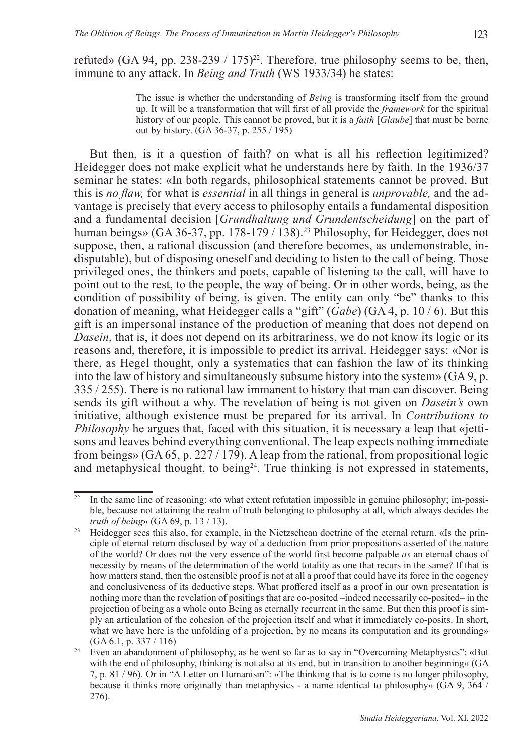refuted» (GA 94, pp. 238-239 / 175)<sup>22</sup>. Therefore, true philosophy seems to be, then, immune to any attack. In *Being and Truth* (WS 1933/34) he states:

> The issue is whether the understanding of *Being* is transforming itself from the ground up. It will be a transformation that will first of all provide the *framework* for the spiritual history of our people. This cannot be proved, but it is a *faith* [*Glaube*] that must be borne out by history. (GA 36-37, p. 255 / 195)

But then, is it a question of faith? on what is all his reflection legitimized? Heidegger does not make explicit what he understands here by faith. In the 1936/37 seminar he states: «In both regards, philosophical statements cannot be proved. But this is *no flaw,* for what is *essential* in all things in general is *unprovable,* and the advantage is precisely that every access to philosophy entails a fundamental disposition and a fundamental decision [*Grundhaltung und Grundentscheidung*] on the part of human beings» (GA 36-37, pp. 178-179 / 138).23 Philosophy, for Heidegger, does not suppose, then, a rational discussion (and therefore becomes, as undemonstrable, indisputable), but of disposing oneself and deciding to listen to the call of being. Those privileged ones, the thinkers and poets, capable of listening to the call, will have to point out to the rest, to the people, the way of being. Or in other words, being, as the condition of possibility of being, is given. The entity can only "be" thanks to this donation of meaning, what Heidegger calls a "gift" (*Gabe*) (GA 4, p. 10 / 6). But this gift is an impersonal instance of the production of meaning that does not depend on *Dasein*, that is, it does not depend on its arbitrariness, we do not know its logic or its reasons and, therefore, it is impossible to predict its arrival. Heidegger says: «Nor is there, as Hegel thought, only a systematics that can fashion the law of its thinking into the law of history and simultaneously subsume history into the system» (GA 9, p. 335 / 255). There is no rational law immanent to history that man can discover. Being sends its gift without a why. The revelation of being is not given on *Dasein's* own initiative, although existence must be prepared for its arrival. In *Contributions to Philosophy* he argues that, faced with this situation, it is necessary a leap that «jettisons and leaves behind everything conventional. The leap expects nothing immediate from beings» (GA 65, p. 227 / 179). A leap from the rational, from propositional logic and metaphysical thought, to being<sup>24</sup>. True thinking is not expressed in statements,

<sup>&</sup>lt;sup>22</sup> In the same line of reasoning: «to what extent refutation impossible in genuine philosophy; im-possible, because not attaining the realm of truth belonging to philosophy at all, which always decides the *truth of being*» (GA 69, p. 13 / 13).

<sup>&</sup>lt;sup>23</sup> Heidegger sees this also, for example, in the Nietzschean doctrine of the eternal return. «Is the principle of eternal return disclosed by way of a deduction from prior propositions asserted of the nature of the world? Or does not the very essence of the world first become palpable *as* an eternal chaos of necessity by means of the determination of the world totality as one that recurs in the same? If that is how matters stand, then the ostensible proof is not at all a proof that could have its force in the cogency and conclusiveness of its deductive steps. What proffered itself as a proof in our own presentation is nothing more than the revelation of positings that are co-posited –indeed necessarily co-posited– in the projection of being as a whole onto Being as eternally recurrent in the same. But then this proof is simply an articulation of the cohesion of the projection itself and what it immediately co-posits. In short, what we have here is the unfolding of a projection, by no means its computation and its grounding» (GA 6.1, p. 337 / 116)

<sup>&</sup>lt;sup>24</sup> Even an abandonment of philosophy, as he went so far as to say in "Overcoming Metaphysics": «But with the end of philosophy, thinking is not also at its end, but in transition to another beginning» (GA 7, p. 81 / 96). Or in "A Letter on Humanism": «The thinking that is to come is no longer philosophy, because it thinks more originally than metaphysics - a name identical to philosophy» (GA 9, 364 / 276).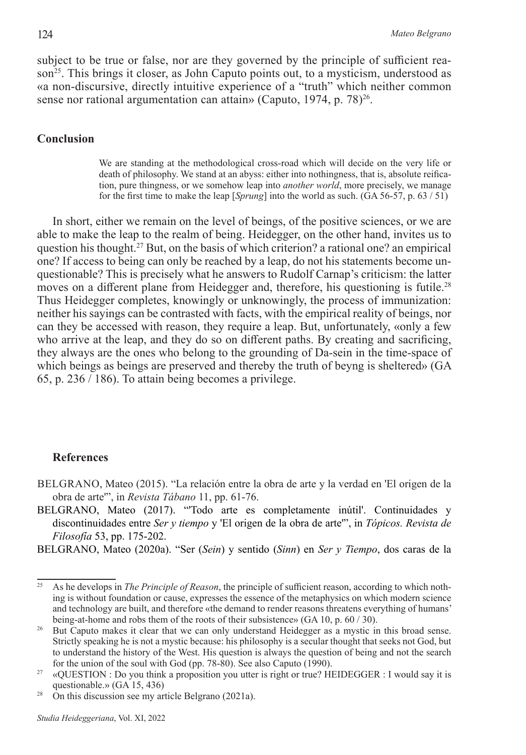subject to be true or false, nor are they governed by the principle of sufficient reason<sup>25</sup>. This brings it closer, as John Caputo points out, to a mysticism, understood as «a non-discursive, directly intuitive experience of a "truth" which neither common sense nor rational argumentation can attain» (Caputo, 1974, p. 78) $^{26}$ .

## **Conclusion**

We are standing at the methodological cross-road which will decide on the very life or death of philosophy. We stand at an abyss: either into nothingness, that is, absolute reification, pure thingness, or we somehow leap into *another world*, more precisely, we manage for the first time to make the leap [*Sprung*] into the world as such. (GA 56-57, p. 63 / 51)

In short, either we remain on the level of beings, of the positive sciences, or we are able to make the leap to the realm of being. Heidegger, on the other hand, invites us to question his thought.27 But, on the basis of which criterion? a rational one? an empirical one? If access to being can only be reached by a leap, do not his statements become unquestionable? This is precisely what he answers to Rudolf Carnap's criticism: the latter moves on a different plane from Heidegger and, therefore, his questioning is futile.<sup>28</sup> Thus Heidegger completes, knowingly or unknowingly, the process of immunization: neither his sayings can be contrasted with facts, with the empirical reality of beings, nor can they be accessed with reason, they require a leap. But, unfortunately, «only a few who arrive at the leap, and they do so on different paths. By creating and sacrificing, they always are the ones who belong to the grounding of Da-sein in the time-space of which beings as beings are preserved and thereby the truth of beyng is sheltered» (GA 65, p. 236 / 186). To attain being becomes a privilege.

#### **References**

- BELGRANO, Mateo (2015). "La relación entre la obra de arte y la verdad en 'El origen de la obra de arte'", in *Revista Tábano* 11, pp. 61-76.
- BELGRANO, Mateo (2017). "'Todo arte es completamente inútil'. Continuidades y discontinuidades entre *Ser y tiempo* y 'El origen de la obra de arte'", in *Tópicos. Revista de Filosofía* 53, pp. 175-202.
- BELGRANO, Mateo (2020a). "Ser (*Sein*) y sentido (*Sinn*) en *Ser y Tiempo*, dos caras de la

<sup>&</sup>lt;sup>25</sup> As he develops in *The Principle of Reason*, the principle of sufficient reason, according to which nothing is without foundation or cause, expresses the essence of the metaphysics on which modern science and technology are built, and therefore «the demand to render reasons threatens everything of humans' being-at-home and robs them of the roots of their subsistence» (GA 10, p. 60 / 30).

<sup>&</sup>lt;sup>26</sup> But Caputo makes it clear that we can only understand Heidegger as a mystic in this broad sense. Strictly speaking he is not a mystic because: his philosophy is a secular thought that seeks not God, but to understand the history of the West. His question is always the question of being and not the search for the union of the soul with God (pp. 78-80). See also Caputo (1990).

<sup>&</sup>lt;sup>27</sup> «QUESTION : Do you think a proposition you utter is right or true? HEIDEGGER : I would say it is questionable.» (GA 15, 436)

<sup>&</sup>lt;sup>28</sup> On this discussion see my article Belgrano (2021a).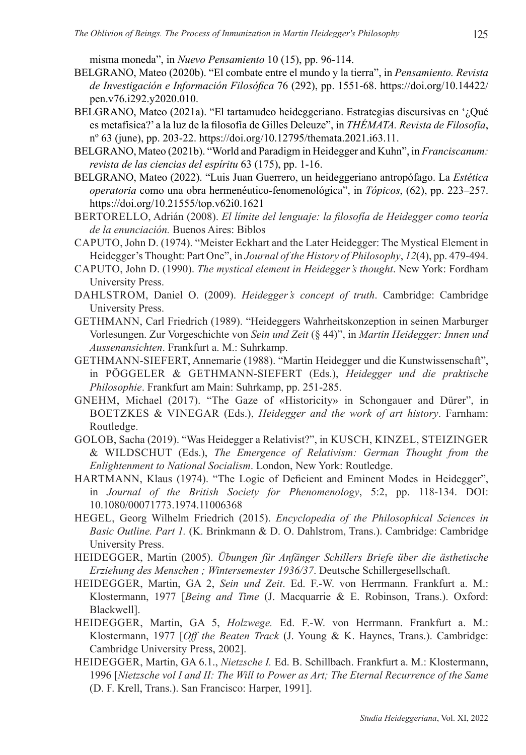misma moneda", in *Nuevo Pensamiento* 10 (15), pp. 96-114.

- BELGRANO, Mateo (2020b). "El combate entre el mundo y la tierra", in *Pensamiento. Revista de Investigación e Información Filosófica* 76 (292), pp. 1551-68. https://doi.org/10.14422/ pen.v76.i292.y2020.010.
- BELGRANO, Mateo (2021a). "El tartamudeo heideggeriano. Estrategias discursivas en '¿Qué es metafísica?' a la luz de la filosofía de Gilles Deleuze", in *THÉMATA. Revista de Filosofía*, nº 63 (june), pp. 203-22. https://doi.org/10.12795/themata.2021.i63.11.
- BELGRANO, Mateo (2021b). "World and Paradigm in Heidegger and Kuhn", in *Franciscanum: revista de las ciencias del espíritu* 63 (175), pp. 1-16.
- BELGRANO, Mateo (2022). "Luis Juan Guerrero, un heideggeriano antropófago. La *Estética operatoria* como una obra hermenéutico-fenomenológica", in *Tópicos*, (62), pp. 223–257. https://doi.org/10.21555/top.v62i0.1621
- BERTORELLO, Adrián (2008). *El límite del lenguaje: la filosofía de Heidegger como teoría de la enunciación.* Buenos Aires: Biblos
- CAPUTO, John D. (1974). "Meister Eckhart and the Later Heidegger: The Mystical Element in Heidegger's Thought: Part One", in *Journal of the History of Philosophy*, *12*(4), pp. 479-494.
- CAPUTO, John D. (1990). *The mystical element in Heidegger's thought*. New York: Fordham University Press.
- DAHLSTROM, Daniel O. (2009). *Heidegger's concept of truth*. Cambridge: Cambridge University Press.
- GETHMANN, Carl Friedrich (1989). "Heideggers Wahrheitskonzeption in seinen Marburger Vorlesungen. Zur Vorgeschichte von *Sein und Zeit* (§ 44)", in *Martin Heidegger: Innen und Aussenansichten*. Frankfurt a. M.: Suhrkamp.
- GETHMANN-SIEFERT, Annemarie (1988). "Martin Heidegger und die Kunstwissenschaft", in PÖGGELER & GETHMANN-SIEFERT (Eds.), *Heidegger und die praktische Philosophie*. Frankfurt am Main: Suhrkamp, pp. 251-285.
- GNEHM, Michael (2017). "The Gaze of «Historicity» in Schongauer and Dürer", in BOETZKES & VINEGAR (Eds.), *Heidegger and the work of art history*. Farnham: Routledge.
- GOLOB, Sacha (2019). "Was Heidegger a Relativist?", in KUSCH, KINZEL, STEIZINGER & WILDSCHUT (Eds.), *The Emergence of Relativism: German Thought from the Enlightenment to National Socialism*. London, New York: Routledge.
- HARTMANN, Klaus (1974). "The Logic of Deficient and Eminent Modes in Heidegger", in *Journal of the British Society for Phenomenology*, 5:2, pp. 118-134. DOI: 10.1080/00071773.1974.11006368
- HEGEL, Georg Wilhelm Friedrich (2015). *Encyclopedia of the Philosophical Sciences in Basic Outline. Part 1.* (K. Brinkmann & D. O. Dahlstrom, Trans.). Cambridge: Cambridge University Press.
- HEIDEGGER, Martin (2005). *Übungen für Anfänger Schillers Briefe über die ästhetische Erziehung des Menschen ; Wintersemester 1936/37*. Deutsche Schillergesellschaft.
- HEIDEGGER, Martin, GA 2, *Sein und Zeit*. Ed. F.-W. von Herrmann. Frankfurt a. M.: Klostermann, 1977 [*Being and Time* (J. Macquarrie & E. Robinson, Trans.). Oxford: Blackwell].
- HEIDEGGER, Martin, GA 5, *Holzwege.* Ed. F.-W. von Herrmann. Frankfurt a. M.: Klostermann, 1977 [*Off the Beaten Track* (J. Young & K. Haynes, Trans.). Cambridge: Cambridge University Press, 2002].
- HEIDEGGER, Martin, GA 6.1., *Nietzsche I.* Ed. B. Schillbach. Frankfurt a. M.: Klostermann, 1996 [*Nietzsche vol I and II: The Will to Power as Art; The Eternal Recurrence of the Same* (D. F. Krell, Trans.). San Francisco: Harper, 1991].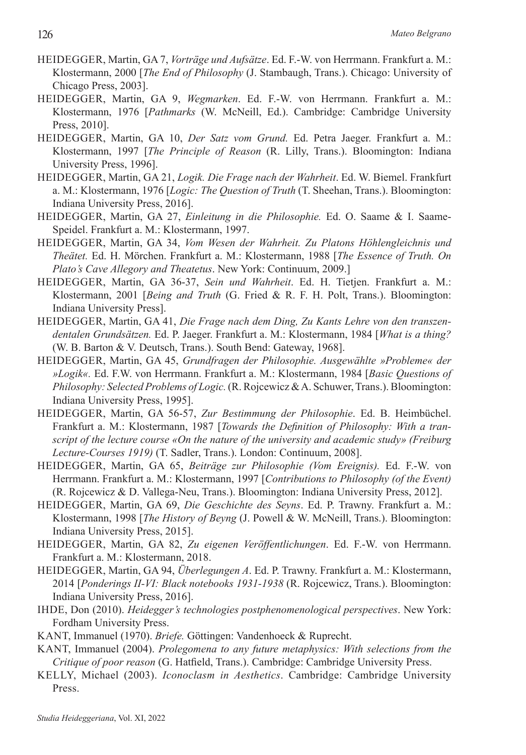- HEIDEGGER, Martin, GA 7, *Vorträge und Aufsätze*. Ed. F.-W. von Herrmann. Frankfurt a. M.: Klostermann, 2000 [*The End of Philosophy* (J. Stambaugh, Trans.). Chicago: University of Chicago Press, 2003].
- HEIDEGGER, Martin, GA 9, *Wegmarken*. Ed. F.-W. von Herrmann. Frankfurt a. M.: Klostermann, 1976 [*Pathmarks* (W. McNeill, Ed.). Cambridge: Cambridge University Press, 2010].
- HEIDEGGER, Martin, GA 10, *Der Satz vom Grund.* Ed. Petra Jaeger. Frankfurt a. M.: Klostermann, 1997 [*The Principle of Reason* (R. Lilly, Trans.). Bloomington: Indiana University Press, 1996].
- HEIDEGGER, Martin, GA 21, *Logik. Die Frage nach der Wahrheit*. Ed. W. Biemel. Frankfurt a. M.: Klostermann, 1976 [*Logic: The Question of Truth* (T. Sheehan, Trans.). Bloomington: Indiana University Press, 2016].
- HEIDEGGER, Martin, GA 27, *Einleitung in die Philosophie.* Ed. O. Saame & I. Saame-Speidel. Frankfurt a. M.: Klostermann, 1997.
- HEIDEGGER, Martin, GA 34, *Vom Wesen der Wahrheit. Zu Platons Höhlengleichnis und Theätet.* Ed. H. Mörchen. Frankfurt a. M.: Klostermann, 1988 [*The Essence of Truth. On Plato's Cave Allegory and Theatetus*. New York: Continuum, 2009.]
- HEIDEGGER, Martin, GA 36-37, *Sein und Wahrheit*. Ed. H. Tietjen. Frankfurt a. M.: Klostermann, 2001 [*Being and Truth* (G. Fried & R. F. H. Polt, Trans.). Bloomington: Indiana University Press].
- HEIDEGGER, Martin, GA 41, *Die Frage nach dem Ding, Zu Kants Lehre von den transzendentalen Grundsätzen.* Ed. P. Jaeger. Frankfurt a. M.: Klostermann, 1984 [*What is a thing?* (W. B. Barton & V. Deutsch, Trans.). South Bend: Gateway, 1968].
- HEIDEGGER, Martin, GA 45, *Grundfragen der Philosophie. Ausgewählte »Probleme« der »Logik«.* Ed. F.W. von Herrmann. Frankfurt a. M.: Klostermann, 1984 [*Basic Questions of Philosophy: Selected Problems of Logic.* (R. Rojcewicz & A. Schuwer, Trans.). Bloomington: Indiana University Press, 1995].
- HEIDEGGER, Martin, GA 56-57, *Zur Bestimmung der Philosophie*. Ed. B. Heimbüchel. Frankfurt a. M.: Klostermann, 1987 [*Towards the Definition of Philosophy: With a transcript of the lecture course «On the nature of the university and academic study» (Freiburg Lecture-Courses 1919)* (T. Sadler, Trans.). London: Continuum, 2008].
- HEIDEGGER, Martin, GA 65, *Beiträge zur Philosophie (Vom Ereignis).* Ed. F.-W. von Herrmann. Frankfurt a. M.: Klostermann, 1997 [*Contributions to Philosophy (of the Event)* (R. Rojcewicz & D. Vallega-Neu, Trans.). Bloomington: Indiana University Press, 2012].
- HEIDEGGER, Martin, GA 69, *Die Geschichte des Seyns*. Ed. P. Trawny. Frankfurt a. M.: Klostermann, 1998 [*The History of Beyng* (J. Powell & W. McNeill, Trans.). Bloomington: Indiana University Press, 2015].
- HEIDEGGER, Martin, GA 82, *Zu eigenen Veröffentlichungen*. Ed. F.-W. von Herrmann. Frankfurt a. M.: Klostermann, 2018.
- HEIDEGGER, Martin, GA 94, *Überlegungen A*. Ed. P. Trawny. Frankfurt a. M.: Klostermann, 2014 [*Ponderings II-VI: Black notebooks 1931-1938* (R. Rojcewicz, Trans.). Bloomington: Indiana University Press, 2016].
- IHDE, Don (2010). *Heidegger's technologies postphenomenological perspectives*. New York: Fordham University Press.
- KANT, Immanuel (1970). *Briefe.* Göttingen: Vandenhoeck & Ruprecht.
- KANT, Immanuel (2004). *Prolegomena to any future metaphysics: With selections from the Critique of poor reason* (G. Hatfield, Trans.). Cambridge: Cambridge University Press.
- KELLY, Michael (2003). *Iconoclasm in Aesthetics*. Cambridge: Cambridge University Press.